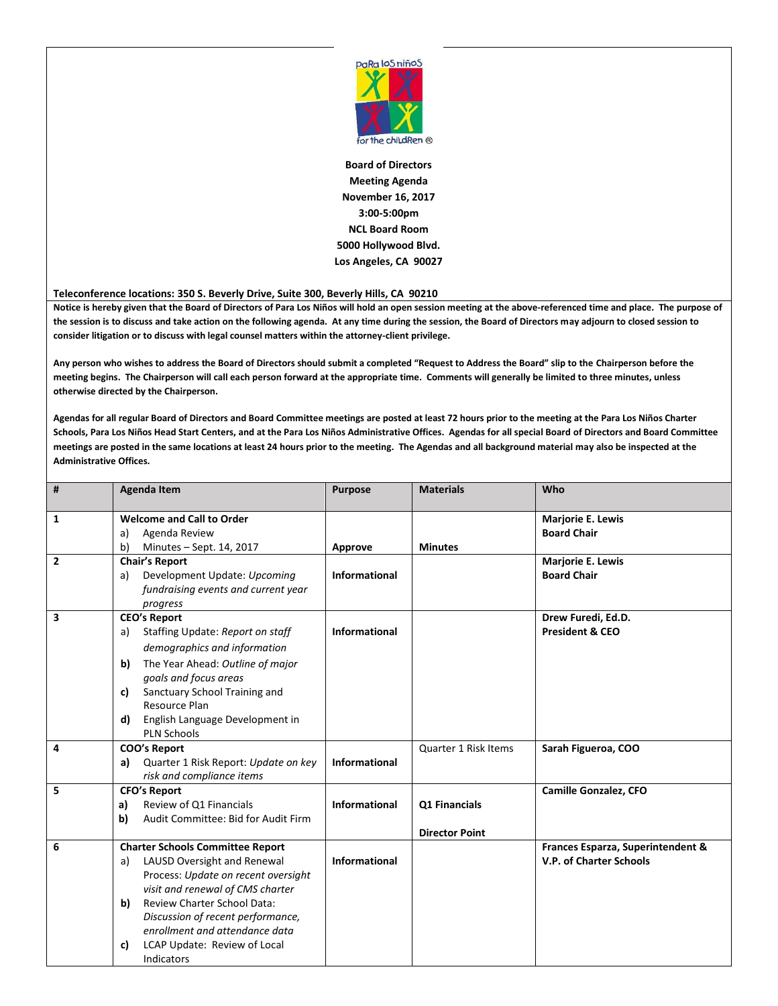

**Board of Directors Meeting Agenda November 16, 2017 3:00-5:00pm NCL Board Room 5000 Hollywood Blvd. Los Angeles, CA 90027**

**Teleconference locations: 350 S. Beverly Drive, Suite 300, Beverly Hills, CA 90210**

**Notice is hereby given that the Board of Directors of Para Los Niños will hold an open session meeting at the above-referenced time and place. The purpose of the session is to discuss and take action on the following agenda. At any time during the session, the Board of Directors may adjourn to closed session to consider litigation or to discuss with legal counsel matters within the attorney-client privilege.**

**Any person who wishes to address the Board of Directors should submit a completed "Request to Address the Board" slip to the Chairperson before the meeting begins. The Chairperson will call each person forward at the appropriate time. Comments will generally be limited to three minutes, unless otherwise directed by the Chairperson.**

**Agendas for all regular Board of Directors and Board Committee meetings are posted at least 72 hours prior to the meeting at the Para Los Niños Charter Schools, Para Los Niños Head Start Centers, and at the Para Los Niños Administrative Offices. Agendas for all special Board of Directors and Board Committee meetings are posted in the same locations at least 24 hours prior to the meeting. The Agendas and all background material may also be inspected at the Administrative Offices.**

| #              | <b>Agenda Item</b>                                                                                                                                                                                      | <b>Purpose</b>       | <b>Materials</b>                       | Who                                                                 |
|----------------|---------------------------------------------------------------------------------------------------------------------------------------------------------------------------------------------------------|----------------------|----------------------------------------|---------------------------------------------------------------------|
| 1              | <b>Welcome and Call to Order</b><br>Agenda Review<br>a)<br>b)<br>Minutes - Sept. 14, 2017                                                                                                               | <b>Approve</b>       | <b>Minutes</b>                         | Marjorie E. Lewis<br><b>Board Chair</b>                             |
| $\overline{2}$ | <b>Chair's Report</b><br>Development Update: Upcoming<br>a)<br>fundraising events and current year<br>progress                                                                                          | <b>Informational</b> |                                        | Marjorie E. Lewis<br><b>Board Chair</b>                             |
| 3              | <b>CEO's Report</b><br>Staffing Update: Report on staff<br>a)<br>demographics and information<br>The Year Ahead: Outline of major<br>b)<br>goals and focus areas<br>Sanctuary School Training and<br>c) | Informational        |                                        | Drew Furedi, Ed.D.<br><b>President &amp; CEO</b>                    |
|                | Resource Plan<br>English Language Development in<br>d)<br><b>PLN Schools</b>                                                                                                                            |                      |                                        |                                                                     |
| 4              | COO's Report<br>Quarter 1 Risk Report: Update on key<br>a)<br>risk and compliance items                                                                                                                 | <b>Informational</b> | Quarter 1 Risk Items                   | Sarah Figueroa, COO                                                 |
| 5              | <b>CFO's Report</b><br>Review of Q1 Financials<br>a)<br>Audit Committee: Bid for Audit Firm<br>b)                                                                                                       | <b>Informational</b> | Q1 Financials<br><b>Director Point</b> | Camille Gonzalez, CFO                                               |
| 6              | <b>Charter Schools Committee Report</b><br>LAUSD Oversight and Renewal<br>a)<br>Process: Update on recent oversight<br>visit and renewal of CMS charter                                                 | Informational        |                                        | Frances Esparza, Superintendent &<br><b>V.P. of Charter Schools</b> |
|                | <b>Review Charter School Data:</b><br>b)<br>Discussion of recent performance,<br>enrollment and attendance data<br>LCAP Update: Review of Local<br>c)<br>Indicators                                     |                      |                                        |                                                                     |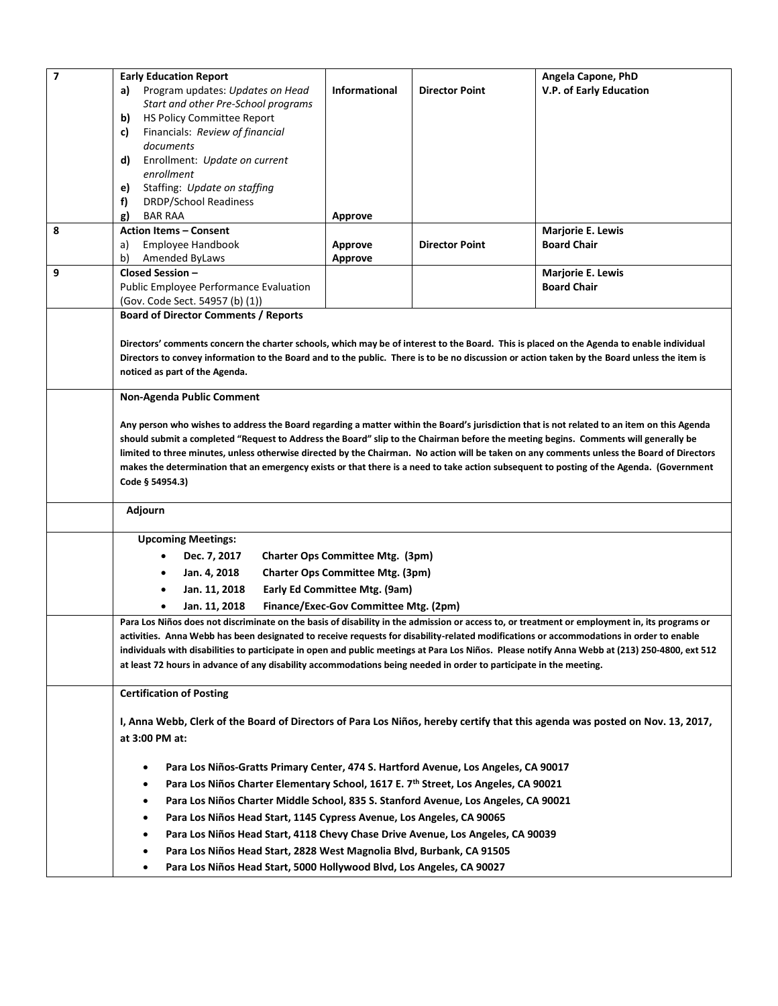| $\overline{7}$ | <b>Early Education Report</b>                                                                                                                                                                                                                                                                                                                                                                                                              |                                       |                       | Angela Capone, PhD      |  |
|----------------|--------------------------------------------------------------------------------------------------------------------------------------------------------------------------------------------------------------------------------------------------------------------------------------------------------------------------------------------------------------------------------------------------------------------------------------------|---------------------------------------|-----------------------|-------------------------|--|
|                | Program updates: Updates on Head<br>a)                                                                                                                                                                                                                                                                                                                                                                                                     | <b>Informational</b>                  | <b>Director Point</b> | V.P. of Early Education |  |
|                | Start and other Pre-School programs                                                                                                                                                                                                                                                                                                                                                                                                        |                                       |                       |                         |  |
|                | HS Policy Committee Report<br>b)                                                                                                                                                                                                                                                                                                                                                                                                           |                                       |                       |                         |  |
|                | Financials: Review of financial<br>c)                                                                                                                                                                                                                                                                                                                                                                                                      |                                       |                       |                         |  |
|                | documents                                                                                                                                                                                                                                                                                                                                                                                                                                  |                                       |                       |                         |  |
|                | Enrollment: Update on current<br>d)<br>enrollment                                                                                                                                                                                                                                                                                                                                                                                          |                                       |                       |                         |  |
|                | Staffing: Update on staffing<br>e)                                                                                                                                                                                                                                                                                                                                                                                                         |                                       |                       |                         |  |
|                | f)<br><b>DRDP/School Readiness</b>                                                                                                                                                                                                                                                                                                                                                                                                         |                                       |                       |                         |  |
|                | <b>BAR RAA</b><br>g)                                                                                                                                                                                                                                                                                                                                                                                                                       | <b>Approve</b>                        |                       |                         |  |
| 8              | <b>Action Items - Consent</b>                                                                                                                                                                                                                                                                                                                                                                                                              |                                       |                       | Marjorie E. Lewis       |  |
|                | Employee Handbook<br>a)                                                                                                                                                                                                                                                                                                                                                                                                                    | Approve                               | <b>Director Point</b> | <b>Board Chair</b>      |  |
|                | b)<br>Amended ByLaws                                                                                                                                                                                                                                                                                                                                                                                                                       | <b>Approve</b>                        |                       |                         |  |
| 9              | Closed Session -                                                                                                                                                                                                                                                                                                                                                                                                                           |                                       |                       | Marjorie E. Lewis       |  |
|                | Public Employee Performance Evaluation                                                                                                                                                                                                                                                                                                                                                                                                     |                                       |                       | <b>Board Chair</b>      |  |
|                | (Gov. Code Sect. 54957 (b) (1))                                                                                                                                                                                                                                                                                                                                                                                                            |                                       |                       |                         |  |
|                | <b>Board of Director Comments / Reports</b>                                                                                                                                                                                                                                                                                                                                                                                                |                                       |                       |                         |  |
|                |                                                                                                                                                                                                                                                                                                                                                                                                                                            |                                       |                       |                         |  |
|                | Directors' comments concern the charter schools, which may be of interest to the Board. This is placed on the Agenda to enable individual                                                                                                                                                                                                                                                                                                  |                                       |                       |                         |  |
|                | Directors to convey information to the Board and to the public. There is to be no discussion or action taken by the Board unless the item is                                                                                                                                                                                                                                                                                               |                                       |                       |                         |  |
|                | noticed as part of the Agenda.                                                                                                                                                                                                                                                                                                                                                                                                             |                                       |                       |                         |  |
|                | <b>Non-Agenda Public Comment</b>                                                                                                                                                                                                                                                                                                                                                                                                           |                                       |                       |                         |  |
|                |                                                                                                                                                                                                                                                                                                                                                                                                                                            |                                       |                       |                         |  |
|                | Any person who wishes to address the Board regarding a matter within the Board's jurisdiction that is not related to an item on this Agenda                                                                                                                                                                                                                                                                                                |                                       |                       |                         |  |
|                | should submit a completed "Request to Address the Board" slip to the Chairman before the meeting begins. Comments will generally be                                                                                                                                                                                                                                                                                                        |                                       |                       |                         |  |
|                | limited to three minutes, unless otherwise directed by the Chairman. No action will be taken on any comments unless the Board of Directors                                                                                                                                                                                                                                                                                                 |                                       |                       |                         |  |
|                | makes the determination that an emergency exists or that there is a need to take action subsequent to posting of the Agenda. (Government                                                                                                                                                                                                                                                                                                   |                                       |                       |                         |  |
|                | Code § 54954.3)                                                                                                                                                                                                                                                                                                                                                                                                                            |                                       |                       |                         |  |
|                | Adjourn                                                                                                                                                                                                                                                                                                                                                                                                                                    |                                       |                       |                         |  |
|                |                                                                                                                                                                                                                                                                                                                                                                                                                                            |                                       |                       |                         |  |
|                | <b>Upcoming Meetings:</b>                                                                                                                                                                                                                                                                                                                                                                                                                  |                                       |                       |                         |  |
|                | Charter Ops Committee Mtg. (3pm)<br>Dec. 7, 2017                                                                                                                                                                                                                                                                                                                                                                                           |                                       |                       |                         |  |
|                | <b>Charter Ops Committee Mtg. (3pm)</b><br>Jan. 4, 2018<br>Early Ed Committee Mtg. (9am)<br>Jan. 11, 2018                                                                                                                                                                                                                                                                                                                                  |                                       |                       |                         |  |
|                |                                                                                                                                                                                                                                                                                                                                                                                                                                            |                                       |                       |                         |  |
|                | Jan. 11, 2018                                                                                                                                                                                                                                                                                                                                                                                                                              | Finance/Exec-Gov Committee Mtg. (2pm) |                       |                         |  |
|                |                                                                                                                                                                                                                                                                                                                                                                                                                                            |                                       |                       |                         |  |
|                | Para Los Niños does not discriminate on the basis of disability in the admission or access to, or treatment or employment in, its programs or<br>activities. Anna Webb has been designated to receive requests for disability-related modifications or accommodations in order to enable<br>individuals with disabilities to participate in open and public meetings at Para Los Niños. Please notify Anna Webb at (213) 250-4800, ext 512 |                                       |                       |                         |  |
|                |                                                                                                                                                                                                                                                                                                                                                                                                                                            |                                       |                       |                         |  |
|                | at least 72 hours in advance of any disability accommodations being needed in order to participate in the meeting.                                                                                                                                                                                                                                                                                                                         |                                       |                       |                         |  |
|                |                                                                                                                                                                                                                                                                                                                                                                                                                                            |                                       |                       |                         |  |
|                | <b>Certification of Posting</b>                                                                                                                                                                                                                                                                                                                                                                                                            |                                       |                       |                         |  |
|                |                                                                                                                                                                                                                                                                                                                                                                                                                                            |                                       |                       |                         |  |
|                | I, Anna Webb, Clerk of the Board of Directors of Para Los Niños, hereby certify that this agenda was posted on Nov. 13, 2017,                                                                                                                                                                                                                                                                                                              |                                       |                       |                         |  |
|                | at 3:00 PM at:                                                                                                                                                                                                                                                                                                                                                                                                                             |                                       |                       |                         |  |
|                |                                                                                                                                                                                                                                                                                                                                                                                                                                            |                                       |                       |                         |  |
|                | Para Los Niños-Gratts Primary Center, 474 S. Hartford Avenue, Los Angeles, CA 90017<br>٠                                                                                                                                                                                                                                                                                                                                                   |                                       |                       |                         |  |
|                | Para Los Niños Charter Elementary School, 1617 E. 7th Street, Los Angeles, CA 90021                                                                                                                                                                                                                                                                                                                                                        |                                       |                       |                         |  |
|                | Para Los Niños Charter Middle School, 835 S. Stanford Avenue, Los Angeles, CA 90021                                                                                                                                                                                                                                                                                                                                                        |                                       |                       |                         |  |
|                | Para Los Niños Head Start, 1145 Cypress Avenue, Los Angeles, CA 90065                                                                                                                                                                                                                                                                                                                                                                      |                                       |                       |                         |  |
|                | Para Los Niños Head Start, 4118 Chevy Chase Drive Avenue, Los Angeles, CA 90039<br>٠                                                                                                                                                                                                                                                                                                                                                       |                                       |                       |                         |  |
|                | Para Los Niños Head Start, 2828 West Magnolia Blvd, Burbank, CA 91505<br>$\bullet$                                                                                                                                                                                                                                                                                                                                                         |                                       |                       |                         |  |
|                | Para Los Niños Head Start, 5000 Hollywood Blvd, Los Angeles, CA 90027<br>٠                                                                                                                                                                                                                                                                                                                                                                 |                                       |                       |                         |  |
|                |                                                                                                                                                                                                                                                                                                                                                                                                                                            |                                       |                       |                         |  |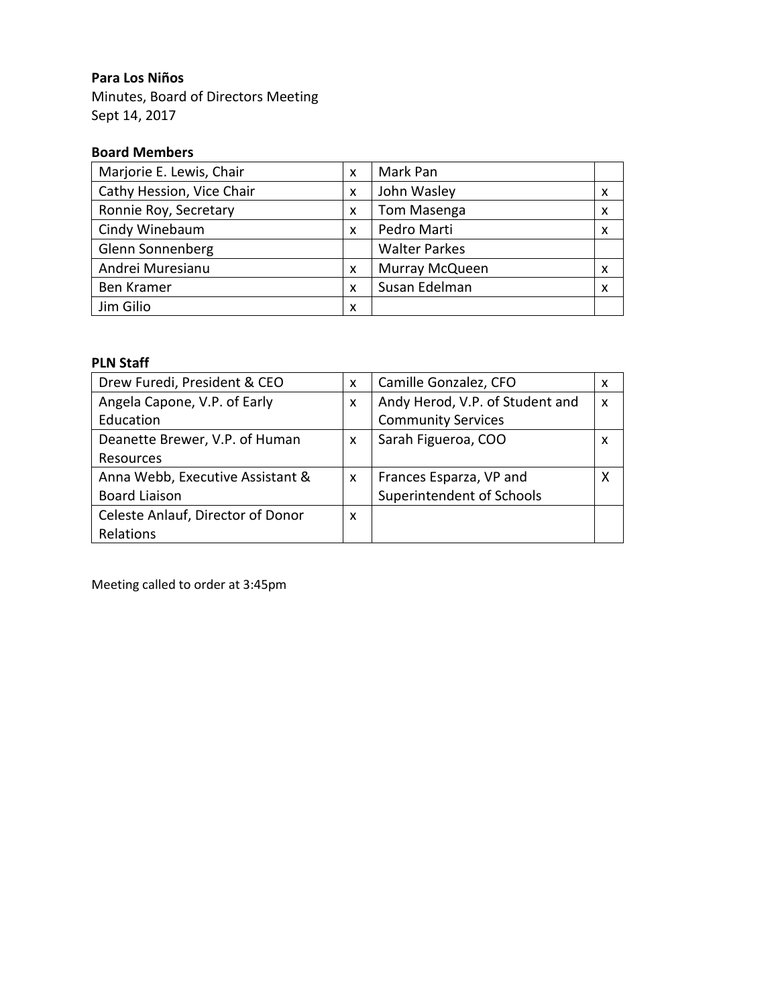## **Para Los Niños**

Minutes, Board of Directors Meeting Sept 14, 2017

## **Board Members**

| Marjorie E. Lewis, Chair  |   | Mark Pan             |                           |
|---------------------------|---|----------------------|---------------------------|
| Cathy Hession, Vice Chair |   | John Wasley          | X                         |
| Ronnie Roy, Secretary     | X | <b>Tom Masenga</b>   | $\boldsymbol{\mathsf{x}}$ |
| Cindy Winebaum            | X | Pedro Marti          | X                         |
| Glenn Sonnenberg          |   | <b>Walter Parkes</b> |                           |
| Andrei Muresianu          | X | Murray McQueen       | X                         |
| <b>Ben Kramer</b>         | X | Susan Edelman        | X                         |
| Jim Gilio                 | X |                      |                           |

## **PLN Staff**

| Drew Furedi, President & CEO      |   | Camille Gonzalez, CFO           | X                         |
|-----------------------------------|---|---------------------------------|---------------------------|
| Angela Capone, V.P. of Early      | X | Andy Herod, V.P. of Student and | $\boldsymbol{\mathsf{x}}$ |
| Education                         |   | <b>Community Services</b>       |                           |
| Deanette Brewer, V.P. of Human    | X | Sarah Figueroa, COO             | X                         |
| Resources                         |   |                                 |                           |
| Anna Webb, Executive Assistant &  | X | Frances Esparza, VP and         | x                         |
| <b>Board Liaison</b>              |   | Superintendent of Schools       |                           |
| Celeste Anlauf, Director of Donor | X |                                 |                           |
| Relations                         |   |                                 |                           |

Meeting called to order at 3:45pm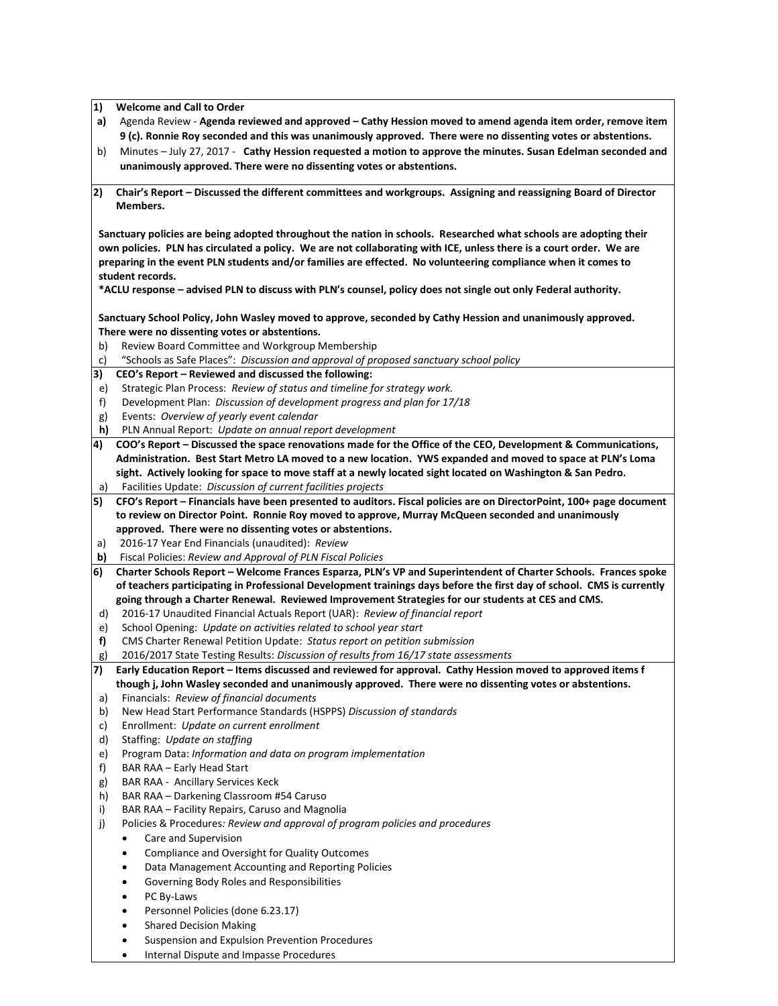**1) Welcome and Call to Order**

- **a)** Agenda Review **Agenda reviewed and approved – Cathy Hession moved to amend agenda item order, remove item 9 (c). Ronnie Roy seconded and this was unanimously approved. There were no dissenting votes or abstentions.**
- b) Minutes July 27, 2017 **Cathy Hession requested a motion to approve the minutes. Susan Edelman seconded and unanimously approved. There were no dissenting votes or abstentions.**
- **2) Chair's Report – Discussed the different committees and workgroups. Assigning and reassigning Board of Director Members.**

**Sanctuary policies are being adopted throughout the nation in schools. Researched what schools are adopting their own policies. PLN has circulated a policy. We are not collaborating with ICE, unless there is a court order. We are preparing in the event PLN students and/or families are effected. No volunteering compliance when it comes to student records.** 

**\*ACLU response – advised PLN to discuss with PLN's counsel, policy does not single out only Federal authority.** 

**Sanctuary School Policy, John Wasley moved to approve, seconded by Cathy Hession and unanimously approved. There were no dissenting votes or abstentions.** 

- b) Review Board Committee and Workgroup Membership
- c) "Schools as Safe Places": *Discussion and approval of proposed sanctuary school policy*
- **3) CEO's Report – Reviewed and discussed the following:**
- e) Strategic Plan Process: *Review of status and timeline for strategy work.*
- f) Development Plan: *Discussion of development progress and plan for 17/18*
- g) Events: *Overview of yearly event calendar*
- **h)** PLN Annual Report: *Update on annual report development*
- **4) COO's Report – Discussed the space renovations made for the Office of the CEO, Development & Communications, Administration. Best Start Metro LA moved to a new location. YWS expanded and moved to space at PLN's Loma sight. Actively looking for space to move staff at a newly located sight located on Washington & San Pedro.**  a) Facilities Update: *Discussion of current facilities projects*
- 
- **5) CFO's Report – Financials have been presented to auditors. Fiscal policies are on DirectorPoint, 100+ page document to review on Director Point. Ronnie Roy moved to approve, Murray McQueen seconded and unanimously approved. There were no dissenting votes or abstentions.**
- a) 2016-17 Year End Financials (unaudited): *Review*
- **b)** Fiscal Policies: *Review and Approval of PLN Fiscal Policies*
- **6) Charter Schools Report – Welcome Frances Esparza, PLN's VP and Superintendent of Charter Schools. Frances spoke of teachers participating in Professional Development trainings days before the first day of school. CMS is currently going through a Charter Renewal. Reviewed Improvement Strategies for our students at CES and CMS.**
- d) 2016-17 Unaudited Financial Actuals Report (UAR): *Review of financial report*
- e) School Opening: *Update on activities related to school year start*
- **f)** CMS Charter Renewal Petition Update: *Status report on petition submission*
- g) 2016/2017 State Testing Results: *Discussion of results from 16/17 state assessments*
- **7) Early Education Report – Items discussed and reviewed for approval. Cathy Hession moved to approved items f though j, John Wasley seconded and unanimously approved. There were no dissenting votes or abstentions.**
- a) Financials: *Review of financial documents*
- b) New Head Start Performance Standards (HSPPS) *Discussion of standards*
- c) Enrollment: *Update on current enrollment*
- d) Staffing: *Update on staffing*
- e) Program Data: *Information and data on program implementation*
- f) BAR RAA Early Head Start
- g) BAR RAA Ancillary Services Keck
- h) BAR RAA Darkening Classroom #54 Caruso
- i) BAR RAA Facility Repairs, Caruso and Magnolia
- j) Policies & Procedures*: Review and approval of program policies and procedures* 
	- Care and Supervision
	- Compliance and Oversight for Quality Outcomes
	- Data Management Accounting and Reporting Policies
	- Governing Body Roles and Responsibilities
	- PC By-Laws
	- Personnel Policies (done 6.23.17)
	- Shared Decision Making
	- Suspension and Expulsion Prevention Procedures
	- Internal Dispute and Impasse Procedures